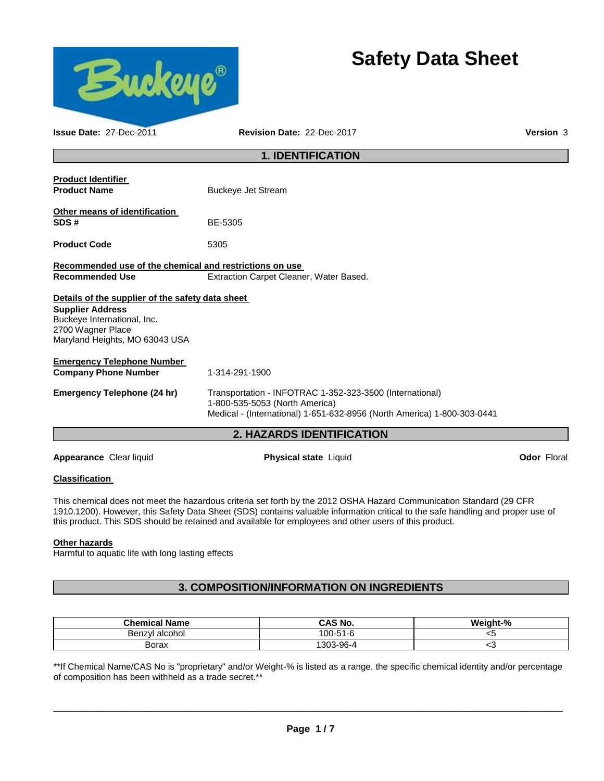

# **Safety Data Sheet**

| <b>Issue Date: 27-Dec-2011</b>                                                                                                                                    | Revision Date: 22-Dec-2017                                                                                                                                            | Version 3          |  |  |
|-------------------------------------------------------------------------------------------------------------------------------------------------------------------|-----------------------------------------------------------------------------------------------------------------------------------------------------------------------|--------------------|--|--|
| <b>1. IDENTIFICATION</b>                                                                                                                                          |                                                                                                                                                                       |                    |  |  |
| <b>Product Identifier</b><br><b>Product Name</b>                                                                                                                  | <b>Buckeye Jet Stream</b>                                                                                                                                             |                    |  |  |
| Other means of identification<br>SDS#                                                                                                                             | BE-5305                                                                                                                                                               |                    |  |  |
| <b>Product Code</b>                                                                                                                                               | 5305                                                                                                                                                                  |                    |  |  |
| Recommended use of the chemical and restrictions on use<br><b>Recommended Use</b>                                                                                 | Extraction Carpet Cleaner, Water Based.                                                                                                                               |                    |  |  |
| Details of the supplier of the safety data sheet<br><b>Supplier Address</b><br>Buckeye International, Inc.<br>2700 Wagner Place<br>Maryland Heights, MO 63043 USA |                                                                                                                                                                       |                    |  |  |
| <b>Emergency Telephone Number</b><br><b>Company Phone Number</b>                                                                                                  | 1-314-291-1900                                                                                                                                                        |                    |  |  |
| <b>Emergency Telephone (24 hr)</b>                                                                                                                                | Transportation - INFOTRAC 1-352-323-3500 (International)<br>1-800-535-5053 (North America)<br>Medical - (International) 1-651-632-8956 (North America) 1-800-303-0441 |                    |  |  |
|                                                                                                                                                                   | 2. HAZARDS IDENTIFICATION                                                                                                                                             |                    |  |  |
| Appearance Clear liquid                                                                                                                                           | <b>Physical state Liquid</b>                                                                                                                                          | <b>Odor Floral</b> |  |  |

## **Classification**

This chemical does not meet the hazardous criteria set forth by the 2012 OSHA Hazard Communication Standard (29 CFR 1910.1200). However, this Safety Data Sheet (SDS) contains valuable information critical to the safe handling and proper use of this product. This SDS should be retained and available for employees and other users of this product.

### **Other hazards**

Harmful to aquatic life with long lasting effects

## **3. COMPOSITION/INFORMATION ON INGREDIENTS**

| <b>Chemical Name</b> | CAS No.   | Weight-% |
|----------------------|-----------|----------|
| Benzyl alcohol       | 100-51-6  | ∼~       |
| Borax                | '303-96-4 | $\sim$   |

\*\*If Chemical Name/CAS No is "proprietary" and/or Weight-% is listed as a range, the specific chemical identity and/or percentage of composition has been withheld as a trade secret.\*\*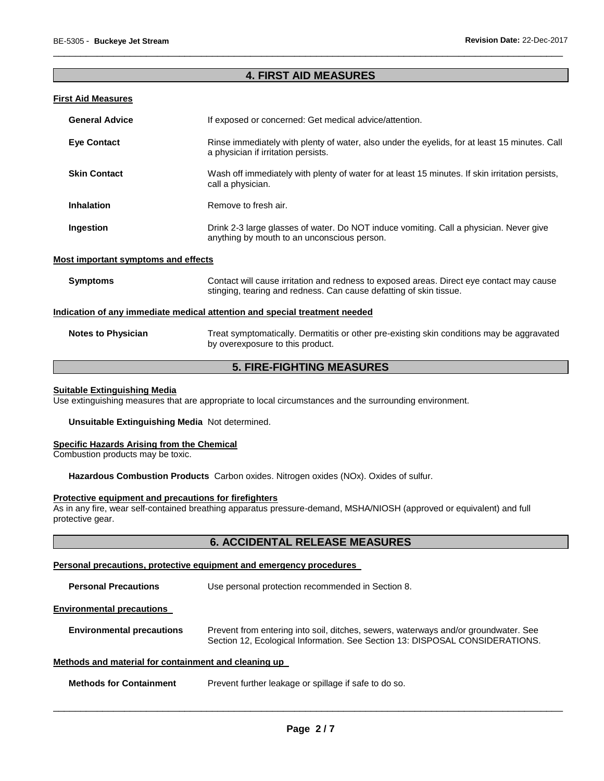### **4. FIRST AID MEASURES**

\_\_\_\_\_\_\_\_\_\_\_\_\_\_\_\_\_\_\_\_\_\_\_\_\_\_\_\_\_\_\_\_\_\_\_\_\_\_\_\_\_\_\_\_\_\_\_\_\_\_\_\_\_\_\_\_\_\_\_\_\_\_\_\_\_\_\_\_\_\_\_\_\_\_\_\_\_\_\_\_\_\_\_\_\_\_\_\_\_\_\_\_\_

#### **First Aid Measures**

| <b>General Advice</b>                                                             | If exposed or concerned: Get medical advice/attention.                                                                                                         |  |  |
|-----------------------------------------------------------------------------------|----------------------------------------------------------------------------------------------------------------------------------------------------------------|--|--|
| <b>Eye Contact</b>                                                                | Rinse immediately with plenty of water, also under the eyelids, for at least 15 minutes. Call<br>a physician if irritation persists.                           |  |  |
| <b>Skin Contact</b>                                                               | Wash off immediately with plenty of water for at least 15 minutes. If skin irritation persists,<br>call a physician.                                           |  |  |
| <b>Inhalation</b>                                                                 | Remove to fresh air.                                                                                                                                           |  |  |
| Ingestion                                                                         | Drink 2-3 large glasses of water. Do NOT induce vomiting. Call a physician. Never give<br>anything by mouth to an unconscious person.                          |  |  |
| <b>Most important symptoms and effects</b>                                        |                                                                                                                                                                |  |  |
| <b>Symptoms</b>                                                                   | Contact will cause irritation and redness to exposed areas. Direct eye contact may cause<br>stinging, tearing and redness. Can cause defatting of skin tissue. |  |  |
| <u>Indication of any immediate medical attention and special treatment needed</u> |                                                                                                                                                                |  |  |
| <b>Notes to Physician</b>                                                         | Treat symptomatically. Dermatitis or other pre-existing skin conditions may be aggravated<br>by overexposure to this product.                                  |  |  |

## **5. FIRE-FIGHTING MEASURES**

#### **Suitable Extinguishing Media**

Use extinguishing measures that are appropriate to local circumstances and the surrounding environment.

**Unsuitable Extinguishing Media** Not determined.

#### **Specific Hazards Arising from the Chemical**

Combustion products may be toxic.

**Hazardous Combustion Products** Carbon oxides. Nitrogen oxides (NOx). Oxides of sulfur.

#### **Protective equipment and precautions for firefighters**

As in any fire, wear self-contained breathing apparatus pressure-demand, MSHA/NIOSH (approved or equivalent) and full protective gear.

## **6. ACCIDENTAL RELEASE MEASURES**

#### **Personal precautions, protective equipment and emergency procedures**

**Personal Precautions** Use personal protection recommended in Section 8.

#### **Environmental precautions**

**Environmental precautions** Prevent from entering into soil, ditches, sewers, waterways and/or groundwater. See Section 12, Ecological Information. See Section 13: DISPOSAL CONSIDERATIONS.

#### **Methods and material for containment and cleaning up**

| <b>Methods for Containment</b><br>Prevent further leakage or spillage if safe to do so. |
|-----------------------------------------------------------------------------------------|
|-----------------------------------------------------------------------------------------|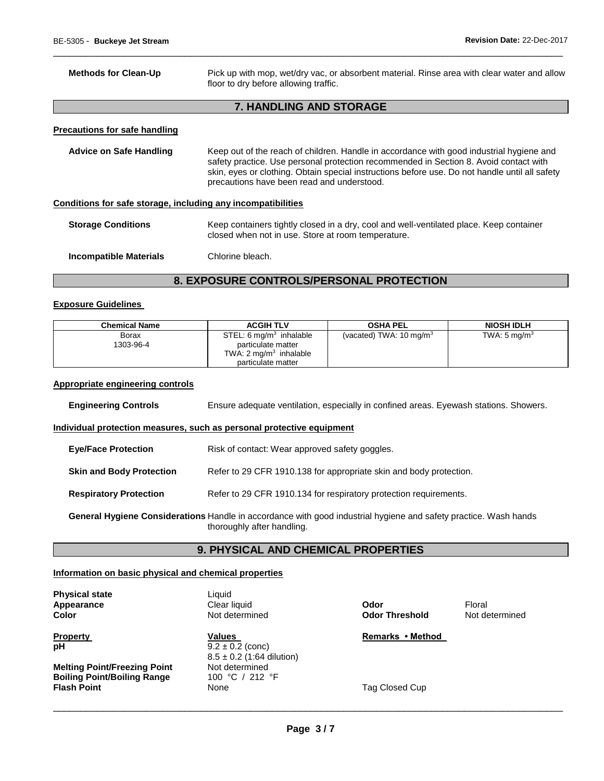Γ

| <b>Methods for Clean-Up</b>                                  | Pick up with mop, wet/dry vac, or absorbent material. Rinse area with clear water and allow<br>floor to dry before allowing traffic.                                                                                                                                                                                              |
|--------------------------------------------------------------|-----------------------------------------------------------------------------------------------------------------------------------------------------------------------------------------------------------------------------------------------------------------------------------------------------------------------------------|
|                                                              | 7. HANDLING AND STORAGE                                                                                                                                                                                                                                                                                                           |
| <b>Precautions for safe handling</b>                         |                                                                                                                                                                                                                                                                                                                                   |
| <b>Advice on Safe Handling</b>                               | Keep out of the reach of children. Handle in accordance with good industrial hygiene and<br>safety practice. Use personal protection recommended in Section 8. Avoid contact with<br>skin, eyes or clothing. Obtain special instructions before use. Do not handle until all safety<br>precautions have been read and understood. |
| Conditions for safe storage, including any incompatibilities |                                                                                                                                                                                                                                                                                                                                   |
| <b>Storage Conditions</b>                                    | Keep containers tightly closed in a dry, cool and well-ventilated place. Keep container<br>closed when not in use. Store at room temperature.                                                                                                                                                                                     |
| Incompatible Materials                                       | Chlorine bleach.                                                                                                                                                                                                                                                                                                                  |

\_\_\_\_\_\_\_\_\_\_\_\_\_\_\_\_\_\_\_\_\_\_\_\_\_\_\_\_\_\_\_\_\_\_\_\_\_\_\_\_\_\_\_\_\_\_\_\_\_\_\_\_\_\_\_\_\_\_\_\_\_\_\_\_\_\_\_\_\_\_\_\_\_\_\_\_\_\_\_\_\_\_\_\_\_\_\_\_\_\_\_\_\_

## **8. EXPOSURE CONTROLS/PERSONAL PROTECTION**

#### **Exposure Guidelines**

| <b>Chemical Name</b>      | <b>ACGIH TLV</b>                                                                                                       | <b>OSHA PEL</b>                    | <b>NIOSH IDLH</b>       |
|---------------------------|------------------------------------------------------------------------------------------------------------------------|------------------------------------|-------------------------|
| <b>Borax</b><br>1303-96-4 | STEL: $6 \,\mathrm{mq/m^3}$ inhalable<br>particulate matter<br>TWA: $2 \text{ mg/m}^3$ inhalable<br>particulate matter | (vacated) TWA: $10 \text{ mg/m}^3$ | TWA: $5 \text{ mg/m}^3$ |

#### **Appropriate engineering controls**

| <b>Engineering Controls</b>                                                                                                                    | Ensure adequate ventilation, especially in confined areas. Eyewash stations. Showers. |  |  |  |
|------------------------------------------------------------------------------------------------------------------------------------------------|---------------------------------------------------------------------------------------|--|--|--|
| Individual protection measures, such as personal protective equipment                                                                          |                                                                                       |  |  |  |
| <b>Eye/Face Protection</b>                                                                                                                     | Risk of contact: Wear approved safety goggles.                                        |  |  |  |
| <b>Skin and Body Protection</b>                                                                                                                | Refer to 29 CFR 1910.138 for appropriate skin and body protection.                    |  |  |  |
| <b>Respiratory Protection</b>                                                                                                                  | Refer to 29 CFR 1910.134 for respiratory protection requirements.                     |  |  |  |
| General Hygiene Considerations Handle in accordance with good industrial hygiene and safety practice. Wash hands<br>thoroughly after handling. |                                                                                       |  |  |  |

## **9. PHYSICAL AND CHEMICAL PROPERTIES**

#### **Information on basic physical and chemical properties**

**Physical state Contract Exercise Server Server Server Server Server Server Server Server Server Server Server Server Server Server Server Server Server Server Server Server Server Server Server Server Server Server Serv** 

**Melting Point/Freezing Point 1997 Not determined Boiling Point/Boiling Range 100 °C / 212 °F Boiling Point/Boiling Range Flash Point 1998 Closed Cup** None 1999 None 1999 Tag Closed Cup

**Appearance Clear liquid <b>Clear Clear Clear Clear Odor Clear Odor Clear** 

**pH**  $9.2 \pm 0.2$  (conc)  $8.5 \pm 0.2$  (1:64 dilution)<br>Not determined

**Color** Not determined **Odor Threshold** Not determined

**Property CONSIDERENT VALUES CONSIDERENT VALUES REMARKS • Method**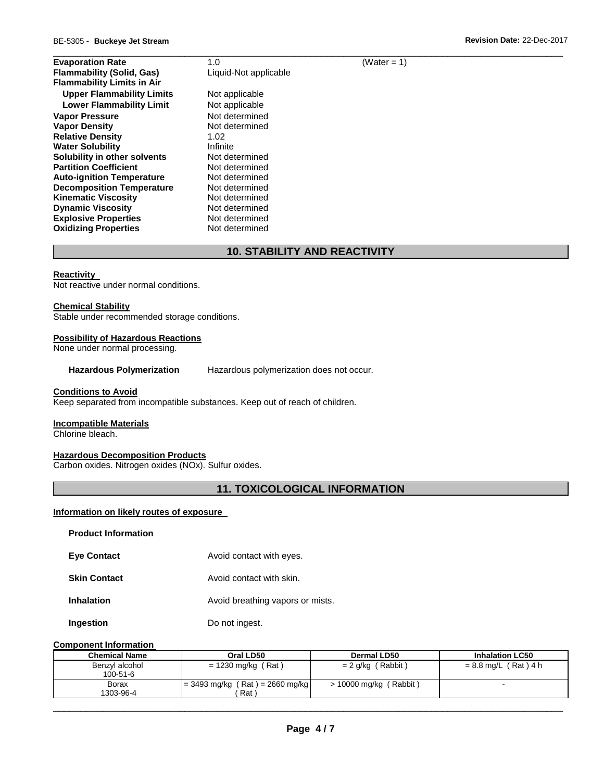| 1.0                   | (Water = $1$ ) |  |
|-----------------------|----------------|--|
| Liquid-Not applicable |                |  |
|                       |                |  |
| Not applicable        |                |  |
| Not applicable        |                |  |
| Not determined        |                |  |
| Not determined        |                |  |
| 1.02                  |                |  |
| Infinite              |                |  |
| Not determined        |                |  |
| Not determined        |                |  |
| Not determined        |                |  |
| Not determined        |                |  |
| Not determined        |                |  |
| Not determined        |                |  |
| Not determined        |                |  |
| Not determined        |                |  |
|                       |                |  |

## **10. STABILITY AND REACTIVITY**

#### **Reactivity**

Not reactive under normal conditions.

#### **Chemical Stability**

Stable under recommended storage conditions.

#### **Possibility of Hazardous Reactions**

None under normal processing.

**Hazardous Polymerization** Hazardous polymerization does not occur.

#### **Conditions to Avoid**

Keep separated from incompatible substances. Keep out of reach of children.

#### **Incompatible Materials**

Chlorine bleach.

#### **Hazardous Decomposition Products**

Carbon oxides. Nitrogen oxides (NOx). Sulfur oxides.

## **11. TOXICOLOGICAL INFORMATION**

#### **Information on likely routes of exposure**

| <b>Product Information</b> |                                  |
|----------------------------|----------------------------------|
| <b>Eye Contact</b>         | Avoid contact with eyes.         |
| <b>Skin Contact</b>        | Avoid contact with skin.         |
| <b>Inhalation</b>          | Avoid breathing vapors or mists. |
| Ingestion                  | Do not ingest.                   |

#### **Component Information**

| <b>Chemical Name</b> | Oral LD50                         | Dermal LD50              | <b>Inhalation LC50</b> |
|----------------------|-----------------------------------|--------------------------|------------------------|
| Benzyl alcohol       | $= 1230$ mg/kg (Rat)              | $= 2$ g/kg (Rabbit)      | $= 8.8$ mg/L (Rat) 4 h |
| 100-51-6             |                                   |                          |                        |
| Borax                | $= 3493$ mg/kg (Rat) = 2660 mg/kg | $> 10000$ mg/kg (Rabbit) |                        |
| 1303-96-4            | Rat `                             |                          |                        |

\_\_\_\_\_\_\_\_\_\_\_\_\_\_\_\_\_\_\_\_\_\_\_\_\_\_\_\_\_\_\_\_\_\_\_\_\_\_\_\_\_\_\_\_\_\_\_\_\_\_\_\_\_\_\_\_\_\_\_\_\_\_\_\_\_\_\_\_\_\_\_\_\_\_\_\_\_\_\_\_\_\_\_\_\_\_\_\_\_\_\_\_\_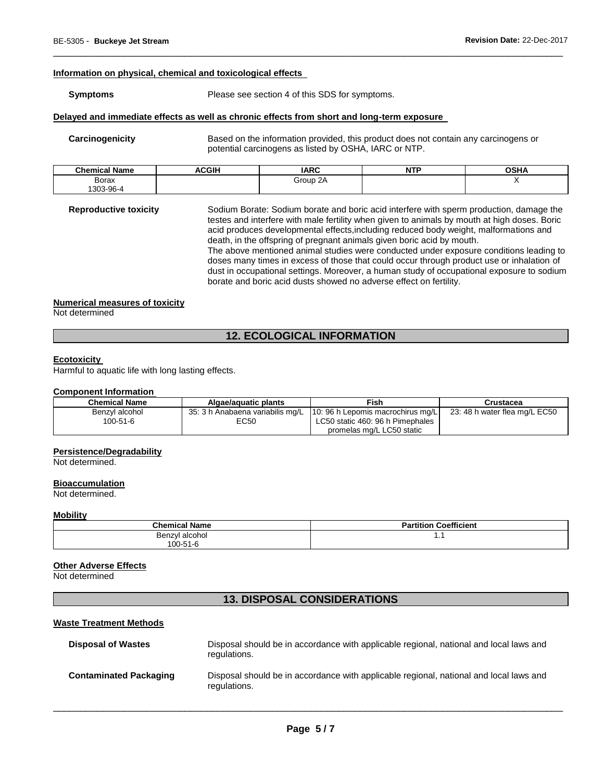#### **Information on physical, chemical and toxicological effects**

#### **Symptoms** Please see section 4 of this SDS for symptoms.

#### **Delayed and immediate effects as well as chronic effects from short and long-term exposure**

**Carcinogenicity** Based on the information provided, this product does not contain any carcinogens or potential carcinogens as listed by OSHA, IARC or NTP.

| .<br>Chemica.<br>Name | <b>ACGIH</b> | <b>IARC</b> | <b>NTP</b><br>. | <b>OSHA</b> |
|-----------------------|--------------|-------------|-----------------|-------------|
| Borax                 |              | Group 2A    |                 |             |
| \$303-96-4            |              |             |                 |             |

\_\_\_\_\_\_\_\_\_\_\_\_\_\_\_\_\_\_\_\_\_\_\_\_\_\_\_\_\_\_\_\_\_\_\_\_\_\_\_\_\_\_\_\_\_\_\_\_\_\_\_\_\_\_\_\_\_\_\_\_\_\_\_\_\_\_\_\_\_\_\_\_\_\_\_\_\_\_\_\_\_\_\_\_\_\_\_\_\_\_\_\_\_

**Reproductive toxicity** Sodium Borate: Sodium borate and boric acid interfere with sperm production, damage the testes and interfere with male fertility when given to animals by mouth at high doses. Boric acid produces developmental effects,including reduced body weight, malformations and death, in the offspring of pregnant animals given boric acid by mouth. The above mentioned animal studies were conducted under exposure conditions leading to doses many times in excess of those that could occur through product use or inhalation of dust in occupational settings. Moreover, a human study of occupational exposure to sodium borate and boric acid dusts showed no adverse effect on fertility.

#### **Numerical measures of toxicity**

Not determined

## **12. ECOLOGICAL INFORMATION**

#### **Ecotoxicity**

Harmful to aquatic life with long lasting effects.

#### **Component Information**

| <b>Chemical Name</b> | Algae/aguatic plants | Fish                                                               | Crustacea                     |
|----------------------|----------------------|--------------------------------------------------------------------|-------------------------------|
| Benzvl alcohol       |                      | 35: 3 h Anabaena variabilis mg/L 10: 96 h Lepomis macrochirus mg/L | 23: 48 h water flea mg/L EC50 |
| $100 - 51 - 6$       | EC50                 | LC50 static 460: 96 h Pimephales                                   |                               |
|                      |                      | promelas mg/L LC50 static                                          |                               |

#### **Persistence/Degradability**

Not determined.

#### **Bioaccumulation**

Not determined.

#### **Mobility**

| <b>Chemical Name</b> | <b>Partition Coefficient</b> |
|----------------------|------------------------------|
| Benzyl alcohol       | . .                          |
| 100-51-6             |                              |

#### **Other Adverse Effects**

Not determined

## **13. DISPOSAL CONSIDERATIONS**

#### **Waste Treatment Methods**

| <b>Disposal of Wastes</b>     | Disposal should be in accordance with applicable regional, national and local laws and<br>regulations. |
|-------------------------------|--------------------------------------------------------------------------------------------------------|
| <b>Contaminated Packaging</b> | Disposal should be in accordance with applicable regional, national and local laws and<br>regulations. |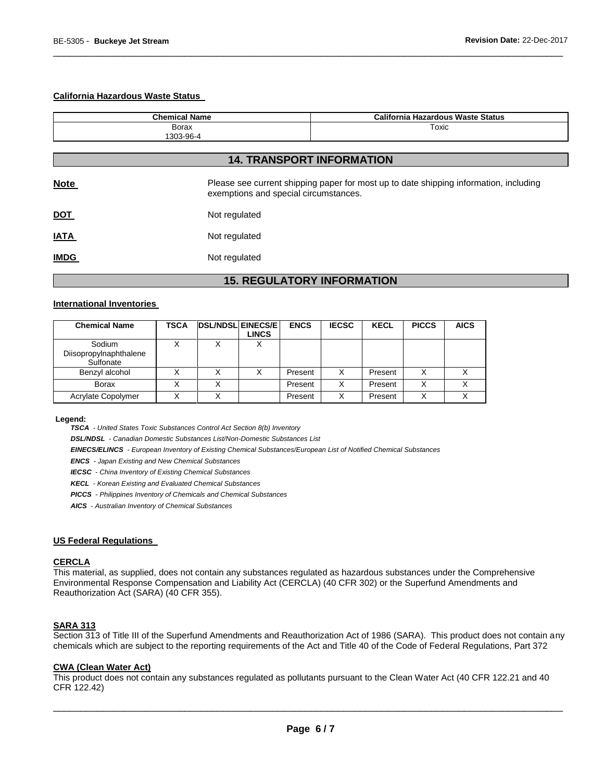#### **California Hazardous Waste Status**

| <b>Chemical Name</b> |               | <b>California Hazardous Waste Status</b>                                                                                       |  |  |  |
|----------------------|---------------|--------------------------------------------------------------------------------------------------------------------------------|--|--|--|
| Borax<br>1303-96-4   |               | Toxic                                                                                                                          |  |  |  |
|                      |               | <b>14. TRANSPORT INFORMATION</b>                                                                                               |  |  |  |
| <b>Note</b>          |               | Please see current shipping paper for most up to date shipping information, including<br>exemptions and special circumstances. |  |  |  |
| <b>DOT</b>           | Not regulated |                                                                                                                                |  |  |  |
| <b>IATA</b>          | Not regulated |                                                                                                                                |  |  |  |
| <b>IMDG</b>          | Not regulated |                                                                                                                                |  |  |  |

\_\_\_\_\_\_\_\_\_\_\_\_\_\_\_\_\_\_\_\_\_\_\_\_\_\_\_\_\_\_\_\_\_\_\_\_\_\_\_\_\_\_\_\_\_\_\_\_\_\_\_\_\_\_\_\_\_\_\_\_\_\_\_\_\_\_\_\_\_\_\_\_\_\_\_\_\_\_\_\_\_\_\_\_\_\_\_\_\_\_\_\_\_

## **15. REGULATORY INFORMATION**

#### **International Inventories**

| <b>Chemical Name</b>                          | <b>TSCA</b> | <b>DSL/NDSL EINECS/E</b> | <b>LINCS</b> | <b>ENCS</b> | <b>IECSC</b> | <b>KECL</b> | <b>PICCS</b> | <b>AICS</b> |
|-----------------------------------------------|-------------|--------------------------|--------------|-------------|--------------|-------------|--------------|-------------|
| Sodium<br>Diisopropylnaphthalene<br>Sulfonate |             |                          | ⋏            |             |              |             |              |             |
| Benzyl alcohol                                |             |                          |              | Present     | x            | Present     | х            |             |
| <b>Borax</b>                                  |             |                          |              | Present     | X            | Present     | Χ            |             |
| Acrylate Copolymer                            |             |                          |              | Present     |              | Present     | Χ            |             |

#### **Legend:**

*TSCA - United States Toxic Substances Control Act Section 8(b) Inventory* 

*DSL/NDSL - Canadian Domestic Substances List/Non-Domestic Substances List* 

*EINECS/ELINCS - European Inventory of Existing Chemical Substances/European List of Notified Chemical Substances* 

*ENCS - Japan Existing and New Chemical Substances* 

*IECSC - China Inventory of Existing Chemical Substances* 

*KECL - Korean Existing and Evaluated Chemical Substances* 

*PICCS - Philippines Inventory of Chemicals and Chemical Substances* 

*AICS - Australian Inventory of Chemical Substances* 

#### **US Federal Regulations**

#### **CERCLA**

This material, as supplied, does not contain any substances regulated as hazardous substances under the Comprehensive Environmental Response Compensation and Liability Act (CERCLA) (40 CFR 302) or the Superfund Amendments and Reauthorization Act (SARA) (40 CFR 355).

#### **SARA 313**

Section 313 of Title III of the Superfund Amendments and Reauthorization Act of 1986 (SARA). This product does not contain any chemicals which are subject to the reporting requirements of the Act and Title 40 of the Code of Federal Regulations, Part 372

#### **CWA (Clean Water Act)**

This product does not contain any substances regulated as pollutants pursuant to the Clean Water Act (40 CFR 122.21 and 40 CFR 122.42)